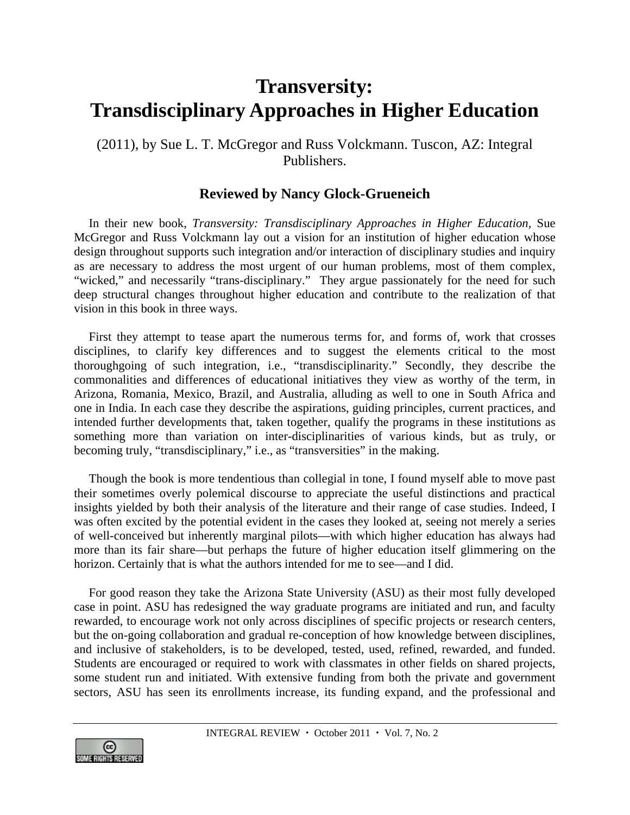## **Transversity: Transdisciplinary Approaches in Higher Education**

(2011), by Sue L. T. McGregor and Russ Volckmann. Tuscon, AZ: Integral Publishers.

## **Reviewed by Nancy Glock-Grueneich**

In their new book, *Transversity: Transdisciplinary Approaches in Higher Education,* Sue McGregor and Russ Volckmann lay out a vision for an institution of higher education whose design throughout supports such integration and/or interaction of disciplinary studies and inquiry as are necessary to address the most urgent of our human problems, most of them complex, "wicked," and necessarily "trans-disciplinary." They argue passionately for the need for such deep structural changes throughout higher education and contribute to the realization of that vision in this book in three ways.

First they attempt to tease apart the numerous terms for, and forms of, work that crosses disciplines, to clarify key differences and to suggest the elements critical to the most thoroughgoing of such integration, i.e., "transdisciplinarity." Secondly, they describe the commonalities and differences of educational initiatives they view as worthy of the term, in Arizona, Romania, Mexico, Brazil, and Australia, alluding as well to one in South Africa and one in India. In each case they describe the aspirations, guiding principles, current practices, and intended further developments that, taken together, qualify the programs in these institutions as something more than variation on inter-disciplinarities of various kinds, but as truly, or becoming truly, "transdisciplinary," i.e., as "transversities" in the making.

Though the book is more tendentious than collegial in tone, I found myself able to move past their sometimes overly polemical discourse to appreciate the useful distinctions and practical insights yielded by both their analysis of the literature and their range of case studies. Indeed, I was often excited by the potential evident in the cases they looked at, seeing not merely a series of well-conceived but inherently marginal pilots—with which higher education has always had more than its fair share—but perhaps the future of higher education itself glimmering on the horizon. Certainly that is what the authors intended for me to see—and I did.

For good reason they take the Arizona State University (ASU) as their most fully developed case in point. ASU has redesigned the way graduate programs are initiated and run, and faculty rewarded, to encourage work not only across disciplines of specific projects or research centers, but the on-going collaboration and gradual re-conception of how knowledge between disciplines, and inclusive of stakeholders, is to be developed, tested, used, refined, rewarded, and funded. Students are encouraged or required to work with classmates in other fields on shared projects, some student run and initiated. With extensive funding from both the private and government sectors, ASU has seen its enrollments increase, its funding expand, and the professional and

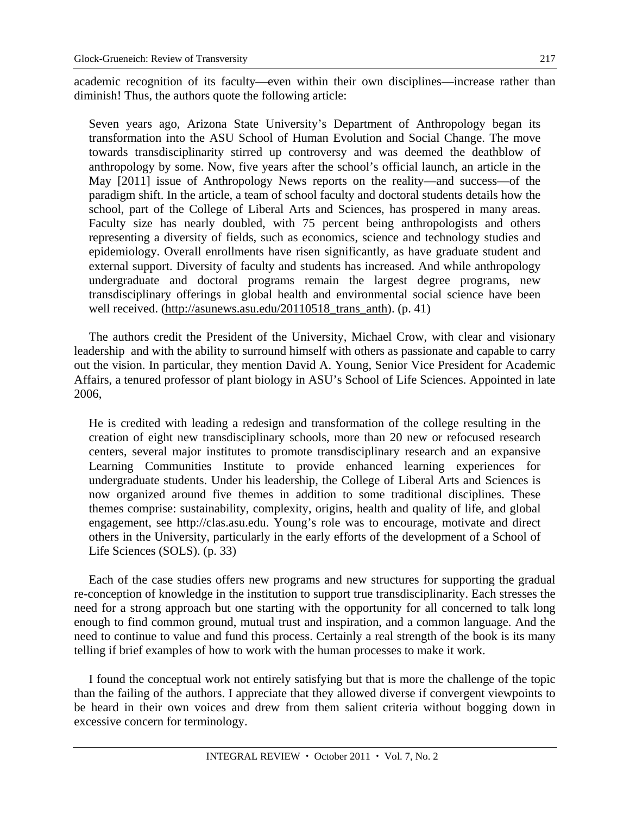academic recognition of its faculty—even within their own disciplines—increase rather than diminish! Thus, the authors quote the following article:

Seven years ago, Arizona State University's Department of Anthropology began its transformation into the ASU School of Human Evolution and Social Change. The move towards transdisciplinarity stirred up controversy and was deemed the deathblow of anthropology by some. Now, five years after the school's official launch, an article in the May [2011] issue of Anthropology News reports on the reality—and success—of the paradigm shift. In the article, a team of school faculty and doctoral students details how the school, part of the College of Liberal Arts and Sciences, has prospered in many areas. Faculty size has nearly doubled, with 75 percent being anthropologists and others representing a diversity of fields, such as economics, science and technology studies and epidemiology. Overall enrollments have risen significantly, as have graduate student and external support. Diversity of faculty and students has increased. And while anthropology undergraduate and doctoral programs remain the largest degree programs, new transdisciplinary offerings in global health and environmental social science have been well received. (http://asunews.asu.edu/20110518\_trans\_anth). (p. 41)

The authors credit the President of the University, Michael Crow, with clear and visionary leadership and with the ability to surround himself with others as passionate and capable to carry out the vision. In particular, they mention David A. Young, Senior Vice President for Academic Affairs, a tenured professor of plant biology in ASU's School of Life Sciences. Appointed in late 2006,

He is credited with leading a redesign and transformation of the college resulting in the creation of eight new transdisciplinary schools, more than 20 new or refocused research centers, several major institutes to promote transdisciplinary research and an expansive Learning Communities Institute to provide enhanced learning experiences for undergraduate students. Under his leadership, the College of Liberal Arts and Sciences is now organized around five themes in addition to some traditional disciplines. These themes comprise: sustainability, complexity, origins, health and quality of life, and global engagement, see http://clas.asu.edu. Young's role was to encourage, motivate and direct others in the University, particularly in the early efforts of the development of a School of Life Sciences (SOLS). (p. 33)

Each of the case studies offers new programs and new structures for supporting the gradual re-conception of knowledge in the institution to support true transdisciplinarity. Each stresses the need for a strong approach but one starting with the opportunity for all concerned to talk long enough to find common ground, mutual trust and inspiration, and a common language. And the need to continue to value and fund this process. Certainly a real strength of the book is its many telling if brief examples of how to work with the human processes to make it work.

I found the conceptual work not entirely satisfying but that is more the challenge of the topic than the failing of the authors. I appreciate that they allowed diverse if convergent viewpoints to be heard in their own voices and drew from them salient criteria without bogging down in excessive concern for terminology.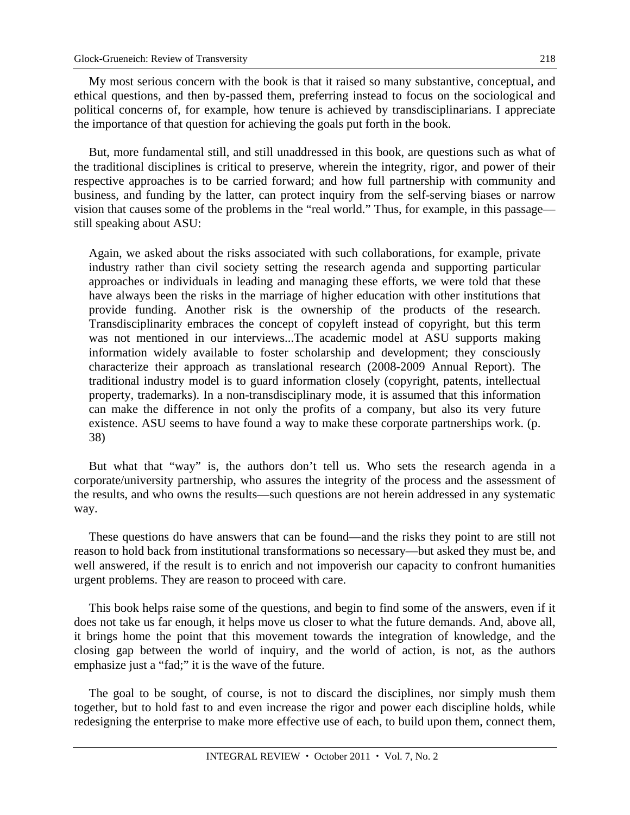My most serious concern with the book is that it raised so many substantive, conceptual, and ethical questions, and then by-passed them, preferring instead to focus on the sociological and political concerns of, for example, how tenure is achieved by transdisciplinarians. I appreciate the importance of that question for achieving the goals put forth in the book.

But, more fundamental still, and still unaddressed in this book, are questions such as what of the traditional disciplines is critical to preserve, wherein the integrity, rigor, and power of their respective approaches is to be carried forward; and how full partnership with community and business, and funding by the latter, can protect inquiry from the self-serving biases or narrow vision that causes some of the problems in the "real world." Thus, for example, in this passage still speaking about ASU:

Again, we asked about the risks associated with such collaborations, for example, private industry rather than civil society setting the research agenda and supporting particular approaches or individuals in leading and managing these efforts, we were told that these have always been the risks in the marriage of higher education with other institutions that provide funding. Another risk is the ownership of the products of the research. Transdisciplinarity embraces the concept of copyleft instead of copyright, but this term was not mentioned in our interviews...The academic model at ASU supports making information widely available to foster scholarship and development; they consciously characterize their approach as translational research (2008-2009 Annual Report). The traditional industry model is to guard information closely (copyright, patents, intellectual property, trademarks). In a non-transdisciplinary mode, it is assumed that this information can make the difference in not only the profits of a company, but also its very future existence. ASU seems to have found a way to make these corporate partnerships work. (p. 38)

But what that "way" is, the authors don't tell us. Who sets the research agenda in a corporate/university partnership, who assures the integrity of the process and the assessment of the results, and who owns the results—such questions are not herein addressed in any systematic way.

These questions do have answers that can be found—and the risks they point to are still not reason to hold back from institutional transformations so necessary—but asked they must be, and well answered, if the result is to enrich and not impoverish our capacity to confront humanities urgent problems. They are reason to proceed with care.

This book helps raise some of the questions, and begin to find some of the answers, even if it does not take us far enough, it helps move us closer to what the future demands. And, above all, it brings home the point that this movement towards the integration of knowledge, and the closing gap between the world of inquiry, and the world of action, is not, as the authors emphasize just a "fad;" it is the wave of the future.

The goal to be sought, of course, is not to discard the disciplines, nor simply mush them together, but to hold fast to and even increase the rigor and power each discipline holds, while redesigning the enterprise to make more effective use of each, to build upon them, connect them,